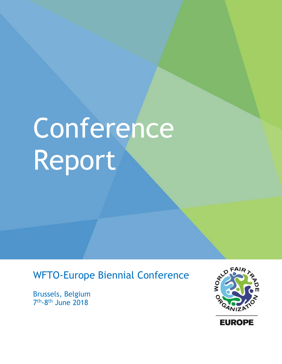# Conference Report

# WFTO-Europe Biennial Conference

Brussels, Belgium 7<sup>th</sup>-8<sup>th</sup> June 2018



**EUROPE**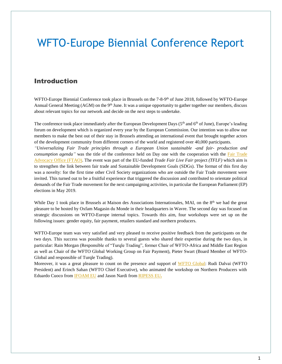# WFTO-Europe Biennial Conference Report

## Introduction

WFTO-Europe Biennial Conference took place in Brussels on the 7-8-9<sup>th</sup> of June 2018, followed by WFTO-Europe Annual General Meeting (AGM) on the 9<sup>th</sup> June. It was a unique opportunity to gather together our members, discuss about relevant topics for our network and decide on the next steps to undertake.

The conference took place immediately after the European Development Days ( $5<sup>th</sup>$  and  $6<sup>th</sup>$  of June), Europe's leading forum on development which is organized every year by the European Commission. Our intention was to allow our members to make the best out of their stay in Brussels attending an international event that brought together actors of the development community from different corners of the world and registered over 40,000 participants.

*"Universalizing Fair Trade principles through a European Union sustainable -and fair- production and consumption agenda"* was the title of the conference held on Day one with the cooperation with the Fair Trade [Advocacy Office \(FTAO\).](http://www.fairtrade-advocacy.org/) The event was part of the EU-funded *Trade Fair Live Fair* project *(TFLF)* which aim is to strengthen the link between fair trade and Sustainable Development Goals (SDGs). The format of this first day was a novelty: for the first time other Civil Society organizations who are outside the Fair Trade movement were invited. This turned out to be a fruitful experience that triggered the discussion and contributed to orientate political demands of the Fair Trade movement for the next campaigning activities, in particular the European Parliament (EP) elections in May 2019.

While Day 1 took place in Brussels at Maison des Associations Internationales, MAI, on the 8<sup>th</sup> we had the great pleasure to be hosted by Oxfam Magasin du Monde in their headquarters in Wavre. The second day was focused on strategic discussions on WFTO-Europe internal topics. Towards this aim, four workshops were set up on the following issues: gender equity, fair payment, retailers standard and northern producers.

WFTO-Europe team was very satisfied and very pleased to receive positive feedback from the participants on the two days. This success was possible thanks to several guests who shared their expertise during the two days, in particular: Rain Morgan (Responsible of "Turqle Trading", former Chair of WFTO-Africa and Middle East Region as well as Chair of the WFTO Global Working Group on Fair Payment), Pieter Swart (Board Member of WFTO-Global and responsible of Turqle Trading).

Moreover, it was a great pleasure to count on the presence and support of [WFTO Global:](https://wfto.com/) Rudi Dalvai (WFTO President) and Erinch Sahan (WFTO Chief Executive), who animated the workshop on Northern Producers with Eduardo Cuoco from [IFOAM EU](http://www.ifoam-eu.org/) and Jason Nardi fro[m RIPESS EU](http://www.ripess.eu/)**.**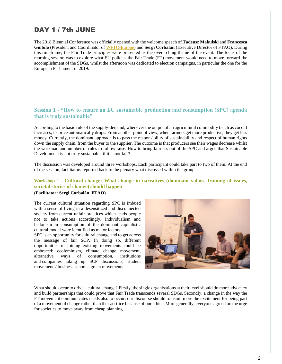## DAY 1 / 7th JUNE

The 2018 Biennial Conference was officially opened with the welcome speech of **Tadeusz Makulski** and **Francesca Giubilo** (President and Coordinator o[f WFTO-Europe\)](https://wfto-europe.org/wp-content/uploads/2018/04/Factsheet_NorthernProducersWithinWFTO_Apr20182.pdf) and **Sergi Corbalán** (Executive Director of FTAO). During this timeframe, the Fair Trade principles were presented as the overarching theme of the event. The focus of the morning session was to explore what EU policies the Fair Trade (FT) movement would need to move forward the accomplishment of the SDGs, whilst the afternoon was dedicated to election campaigns, in particular the one for the European Parliament in 2019.

#### **Session 1 - "How to ensure an EU sustainable production and consumption (SPC) agenda that is truly sustainable"**

According to the basic rule of the supply-demand, whenever the output of an agricultural commodity (such as cocoa) increases, its price automatically drops. From another point of view, when farmers get more productive, they get less money. Currently, the dominant approach is to pass the responsibility of sustainability and respect of human rights down the supply chain, from the buyer to the supplier. The outcome is that producers see their wages decrease whilst the workload and number of rules to follow raise. How to bring fairness out of the SPC and argue that Sustainable Development is not truly sustainable if it is not fair?

The discussion was developed around three workshops. Each participant could take part to two of them. At the end of the session, facilitators reported back to the plenary what discussed within the group.

#### **Workshop 1 - Cultural change: What change in narratives (dominant values, framing of issues, societal stories of change) should happen**

**(Facilitator: Sergi Corbalán, FTAO)**

The current cultural situation regarding SPC is imbued with a sense of living in a desensitized and disconnected society from current unfair practices which leads people not to take actions accordingly. Individualism and hedonism in consumption of the dominant capitalistic cultural model were identified as major factors.

SPC is an opportunity for cultural change and to get across the message of fair SCP. In doing so, different opportunities of joining existing movements could be embraced: ecofeminism, climate change movement, alternative ways of consumption, institutions and companies taking up SCP discussions, student movements/ business schools, green movements.



What should occur to drive a cultural change? Firstly, the single organisations at their level should do more advocacy and build partnerships that could prove that Fair Trade transcends several SDGs. Secondly, a change in the way the FT movement communicates needs also to occur: our discourse should transmit more the excitement for being part of a movement of change rather than the sacrifice because of our ethics. More generally, everyone agreed on the urge for societies to move away from cheap planning.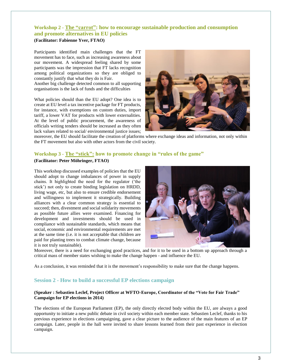#### **Workshop 2 - The "carrot": how to encourage sustainable production and consumption and promote alternatives in EU policies**

#### **(Facilitator: Fabienne Yver, FTAO)**

Participants identified main challenges that the FT movement has to face, such as increasing awareness about our movement. A widespread feeling shared by some participants was the impression that FT lacks recognition among political organizations so they are obliged to constantly justify that what they do is Fair.

Another big challenge detected common to all supporting organisations is the lack of funds and the difficulties

What policies should than the EU adopt? One idea is to create at EU level a tax incentive package for FT products, for instance, with exemptions on custom duties, import tariff, a lower VAT for products with lower externalities. At the level of public procurement, the awareness of officials writing tenders should be increased as they often lack values related to social/ environmental justice issues;



moreover, the EU should facilitate the creation of platforms where exchange ideas and information, not only within the FT movement but also with other actors from the civil society.

#### **Workshop 3 - The "stick": how to promote change in "rules of the game"**

#### **(Facilitator: Peter Möhringer, FTAO)**

This workshop discussed examples of policies that the EU should adopt to change imbalances of power in supply chains. It highlighted the need for the regulator ('the stick') not only to create binding legislation on HRDD, living wage, etc, but also to ensure credible endorsement and willingness to implement it strategically. Building alliances with a clear common strategy is essential to succeed; then, divestment and social solidarity movements as possible future allies were examined. Financing for development and investments should be used in compliance with sustainable standards, which means that social, economic and environmental requirements are met at the same time (i.e. it is not acceptable that children are paid for planting trees to combat climate change, because it is not truly sustainable).



Moreover, there is a need for exchanging good practices, and for it to be used in a bottom up approach through a critical mass of member states wishing to make the change happen - and influence the EU.

As a conclusion, it was reminded that it is the movement's responsibility to make sure that the change happens.

#### **Session 2 - How to build a successful EP elections campaign**

#### **(Speaker : Sebastien Leclef, Project Officer at WFTO-Europe, Coordinator of the "Vote for Fair Trade" Campaign for EP elections in 2014)**

The elections of the European Parliament (EP), the only directly elected body within the EU, are always a good opportunity to initiate a new public debate in civil society within each member state. Sebastien Leclef, thanks to his previous experience in elections campaigning, gave a clear picture to the audience of the main features of an EP campaign. Later, people in the hall were invited to share lessons learned from their past experience in election campaign.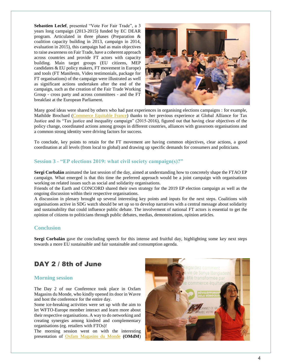**Sebastien Leclef**, presented "Vote For Fair Trade", a 3 years long campaign (2013-2015) funded by EC DEAR program. Articulated in three phases (Preparation & coalition capacity building in 2013, campaign in 2014, evaluation in 2015), this campaign had as main objectives to raise awareness on Fair Trade, have a coherent approach across countries and provide FT actors with capacity building. Main target groups (EU citizens, MEP candidates & EU policy makers, FT movement in Europe) and tools (FT Manifesto, Video testimonials, package for FT organisations) of the campaign were illustrated as well as significant actions undertaken after the end of the campaign, such as the creation of the Fair Trade Working Group - cross party and across committees - and the FT breakfast at the European Parliament.



Many good ideas were shared by others who had past experiences in organising elections campaigns : for example, Mathilde Brochard [\(Commerce Equitable France\)](https://www.commercequitable.org/) thanks to her previous experience at Global Alliance for Tax Justice and its "Tax justice and inequality campaign" (2015-2016), figured out that having clear objectives of the policy change, coordinated actions among groups in different countries, alliances with grassroots organisations and a common strong identity were driving factors for success.

To conclude, key points to retain for the FT movement are having common objectives, clear actions, a good coordination at all levels (from local to global) and drawing up specific demands for consumers and politicians.

#### **Session 3 - "EP elections 2019: what civil society campaign(s)?"**

**Sergi Corbalán** animated the last session of the day, aimed at understanding how to concretely shape the FTAO EP campaign. What emerged is that this time the preferred approach would be a joint campaign with organisations working on related issues such as social and solidarity organisations.

Friends of the Earth and CONCORD shared their own strategy for the 2019 EP election campaign as well as the ongoing discussion within their respective organisations.

A discussion in plenary brought up several interesting key points and inputs for the next steps. Coalitions with organisations active in SDG watch should be set up so to develop narratives with a central message about solidarity and sustainability that could influence public debate. The involvement of national FT actors is essential to get the opinion of citizens to politicians through public debates, medias, demonstrations, opinion articles.

#### **Conclusion**

**Sergi Corbalán** gave the concluding speech for this intense and fruitful day, highlighting some key next steps towards a more EU sustainaible and fair sustainable and consumption agenda.

## DAY 2 / 8th of June

#### **Morning session**

The Day 2 of our Conference took place in Oxfam Magasins du Monde, who kindly opened its door in Wavre and host the conference for the entire day.

Some ice-breaking activities were set up with the aim to let WFTO-Europe member interact and learn more about their respective organisations. A way to do networking and creating synergies among kindred and complementary organisations (eg. retailers with FTOs)!

The morning session went on with the interesting presentation of Oxfam [Magasins du Monde](https://www.oxfammagasinsdumonde.be/) **(OMdM**)

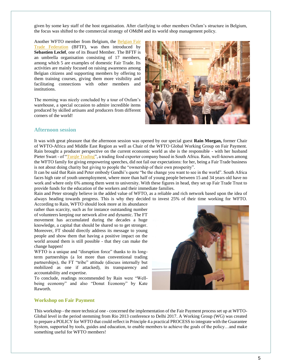given by some key staff of the host organisation. After clarifying to other members Oxfam's structure in Belgium, the focus was shifted to the commercial strategy of OMdM and its world shop management policy.

Another WFTO member from Belgium, the [Belgian Fair](http://bftf.be/fr/?lang=fr)  [Trade Federation](http://bftf.be/fr/?lang=fr) (BFTF), was then introduced by **Sebastien Leclef**, one of its Board Member. The BFTF is an umbrella organisation consisting of 17 members, among which 5 are examples of domestic Fair Trade. Its activities are mainly focused on raising awareness among Belgian citizens and supporting members by offering to them training courses, giving them more visibility and facilitating connections with other members and institutions.

The morning was nicely concluded by a tour of Oxfam's warehouse, a special occasion to admire incredible items produced by skilled artisans and producers from different corners of the world!



#### **Afternoon session**

It was with great pleasure that the afternoon session was opened by our special guest **Rain Morgan,** former Chair of WFTO-Africa and Middle East Region as well as Chair of the WFTO Global Working Group on Fair Payment. Rain brought a producer perspective on the current economic world as she is the responsible - with her husband Pieter Swart - of ["Turqle Trading"](http://www.turqle.com/), a trading food exporter company based in South Africa. Rain, well-known among the WFTO family for giving empowering speeches, did not fail our expectations: for her, being a Fair Trade business is not about doing charity but giving to people the "ownership of their own prosperity".

It can be said that Rain and Peter embody Gandhi's quote "be the change you want to see in the world". South Africa faces high rate of youth unemployment, where more than half of young people between 15 and 34 years old have no work and where only 6% among them went to university. With these figures in head, they set up Fair Trade Trust to provide funds for the education of the workers and their immediate families.

Rain and Peter strongly believe in the added value of WFTO, as a reliable and rich network based upon the idea of always heading towards progress. This is why they decided to invest 25% of their time working for WFTO.

According to Rain, WFTO should look more at its abundance rather than scarcity, such as for instance outstanding number of volunteers keeping our network alive and dynamic. The FT movement has accumulated during the decades a huge knowledge, a capital that should be shared so to get stronger. Moreover, FT should directly address its message to young people and show them that having a positive impact on the world around them is still possible - that they can make the change happen!

WFTO is a unique and "disruption force" thanks to its longterm partnerships (a lot more than conventional trading partnerships), the FT "tribe" attitude (discuss internally but mobilized as one if attacked), its transparency and accountability and expertise.

To conclude, readings recommended by Rain were "Wellbeing economy" and also "Donut Economy" by Kate Raworth.



#### **Workshop on Fair Payment**

This workshop - the more technical one - concerned the implementation of the Fair Payment process set up at WFTO-Global level in the period stemming from Rio 2013 conference to Delhi 2017. A Working Group (WG) was created to prepare a POLICY for WFTO that could reflect in Principle 4 a practical PROCESS to integrate with the Guarantee System, supported by tools, guides and education, to enable members to achieve the goals of the policy…and make something useful for WFTO members!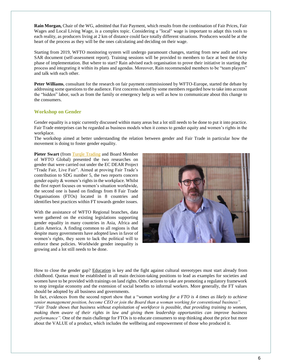**Rain Morgan,** Chair of the WG, admitted that Fair Payment, which results from the combination of Fair Prices, Fair Wages and Local Living Wage, is a complex topic. Considering a "local" wage is important to adapt this tools to each reality, as producers living at 2 km of distance could face totally different situations. Producers would be at the heart of the process as they will be the ones calculating and deciding on their wage.

Starting from 2019, WFTO monitoring system will undergo paramount changes, starting from new audit and new SAR document (self-assessment report). Training sessions will be provided to members to face at best the tricky phase of implementation. But where to start? Rain advised each organisation to prove their initiative in starting the process and integrating it within its plans and agendas. Moreover, Rain recommended members to be "team players" and talk with each other.

**Peter Williams**, consultant for the research on fair payment commissioned by WFTO-Europe, started the debate by addressing some questions to the audience. First concerns shared by some members regarded how to take into account the "hidden" labor, such as from the family or emergency help as well as how to communicate about this change to the consumers.

#### **Workshop on Gender**

Gender equality is a topic currently discussed within many areas but a lot still needs to be done to put it into practice. Fair Trade enterprises can be regarded as business models when it comes to gender equity and women's rights in the workplace.

The workshop aimed at better understanding the relation between gender and Fair Trade in particular how the movement is doing to foster gender equality.

**Pieter Swart** (from [Turqle Trading](http://www.turqle.com/) and Board Member of WFTO Global) presented the two researches on gender that were carried out under the EC DEAR Project "Trade Fair, Live Fair". Aimed at proving Fair Trade's contribution to SDG number 5, the two reports concern gender equity & women's rights in the workplace. Whilst the first report focuses on women's situation worldwide, the second one is based on findings from 8 Fair Trade Organisations (FTOs) located in 8 countries and identifies best practices within FT towards gender issues.

With the assistance of WFTO Regional branches, data were gathered on the existing legislations supporting gender equality in many countries in Asia, Africa and Latin America. A finding common to all regions is that despite many governments have adopted laws in favor of women's rights, they seem to lack the political will to enforce these policies. Worldwide gender inequality is growing and a lot still needs to be done.



How to close the gender gap? Education is key and the fight against cultural stereotypes must start already from childhood. Quotas must be established in all main decision-taking positions to lead as examples for societies and women have to be provided with trainings on land rights. Other actions to take are promoting a regulatory framework to stop irregular economy and the extension of social benefits to informal workers. More generally, the FT values should be adopted by all business and governments.

In fact, evidences from the second report show that a "*woman working for a FTO is 4 times as likely to achieve senior management position, become CEO or join the Board than a woman working for conventional business".* "*Fair Trade shows that business without exploitation of workforce is possible, that providing training to women, making them aware of their rights in law and giving them leadership opportunities can improve business performance".* One of the main challenge for FTOs is to educate consumers to stop thinking about the price but more about the VALUE of a product, which includes the wellbeing and empowerment of those who produced it.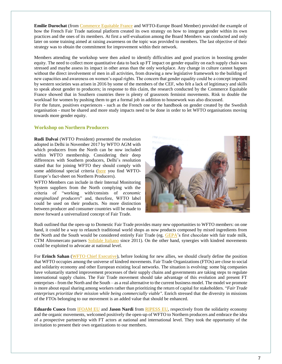**Emilie Durochat** (from [Commerce Equitable France](https://www.commercequitable.org/) and WFTO-Europe Board Member) provided the example of how the French Fair Trade national platform created its own strategy on how to integrate gender within its own practices and the ones of its members. At first a self-evaluation among the Board Members was conducted and only later on some training aimed at raising awareness on the topic was provided to members. The last objective of their strategy was to obtain the commitment for improvement within their network.

Members attending the workshop were then asked to identify difficulties and good practices in boosting gender equity. The need to collect more quantitative data to back up FT impact on gender equality on each supply chain was stressed and maybe assess its impact in other areas than the only workplace. Any change in culture cannot happen without the direct involvement of men in all activities, from drawing a new legislative framework to the building of new capacities and awareness on women's equal rights. The concern that gender equality could be a concept imposed by western societies was arisen in 2016 by some of the members of the CEF, who felt a lack of legitimacy and skills to speak about gender to producers; in response to this claim, the research conducted by the Commerce Equitable France showed that in Southern countries there is plenty of grassroots feminist movements. Risk to double the workload for women by pushing them to get a formal job in addition to housework was also discussed.

For the future, positives experiences - such as the French one or the handbook on gender created by the Swedish organisation - must be shared and more study impacts need to be done in order to let WFTO organisations moving towards more gender equity.

#### **Workshop on Northern Producers**

**Rudi Dalvai** (WFTO President) presented the resolution adopted in Delhi in November 2017 by WFTO AGM with which producers from the North can be now included within WFTO membership. Considering their deep differences with Southern producers, Delhi's resolution stated that for joining WFTO they should comply with some additional special criteria [\(here](https://wfto-europe.org/wp-content/uploads/2018/04/Factsheet_NorthernProducersWithinWFTO_Apr20182.pdf) you find WFTO-Europe's fact-sheet on Northern Producers).

WFTO Members can include in their Internal Monitoring System suppliers from the North complying with the criteria of "working with/consists of *economic marginalized producers*" and, therefore, WFTO label could be used on their products. No more distinction between producer and consumer countries will be made to move forward a universalized concept of Fair Trade.



Rudi outlined that the open-up to Domestic Fair Trade provides many new opportunities to WFTO members: on one hand, it could be a way to relaunch traditional world shops as now products composed by mixed ingredients from the North and the South would be considered entirely Fair Trade (eg. [GEPA'](https://www.gepa.de/home.html)s first chocolate with fair trade milk, CTM Altromercato partners [Solidale Italiano](https://www.altromercato.it/it_it/solidale-italiano/) since 2011). On the other hand, synergies with kindred movements could be exploited to advocate at national level.

For **Erinch Sahan** [\(WFTO Chief Executive\)](https://wfto.com/news/world-fair-trade-organization-names-new-chief-executive), before looking for new allies, we should clearly define the position that WFTO occupies among the universe of kindred movements. Fair Trade Organizations (FTOs) are close to social and solidarity economy and other European existing local networks. The situation is evolving: some big companies have voluntarily started improvement processes of their supply chains and governments are taking steps to regulate international supply chains. The Fair Trade movement should take advantage of this evolution and present FT enterprises - from the North and the South – as a real alternative to the current business model. The model we promote is more about equal sharing among workers rather than prioritizing the return of capital for stakeholders. "*Fair Trade enterprises prioritize their mission while being commercially viable".* Enrich stressed that the diversity in missions of the FTOs belonging to our movement is an added value that should be enhanced.

**Eduardo Cuoco** from [IFOAM EU](http://www.ifoam-eu.org/) and **Jason Nardi** from [RIPESS](http://www.ripess.eu/) EU, respectively from the solidarity economy and the organic movements, welcomed positively the open-up of WFTO to Northern producers and embrace the idea of a prospective partnership with FT actors at national and international level. They took the opportunity of the invitation to present their own organizations to our members.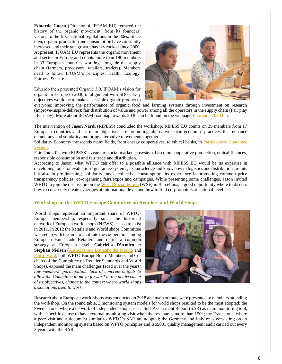**Eduardo Cuoco** (Director of IFOAM EU) retraced the history of the organic movement, from its founders' visions to the first national regulations in the 80es. Since then, organic production and consumption have constantly increased and their rate growth has sky rocked since 2000. At present, IFOAM EU represents the organic movement and sector in Europe and counts more than 190 members in 33 European countries working alongside the supply chain (farmers, processors, retailers, traders). Members need to follow IFOAM's principles: Health, Ecology, Fairness & Care.

Eduardo then presented Organic 3.0, IFOAM's vision for organic in Europe to 2030 in alignment with SDGs. Key objectives would be to make accessible organic product to



everyone; improving the performance of organic food and farming systems through investment on research (improve-inspire-deliver); fair distribution of value and power among all the operators in the supply chain (Fair play - Fair pay). More about IFOAM roadmap towards 2030 can be found on the webpage [Euorganic2030.bio.](https://euorganic2030.bio/)

The intervention of **Jason Nardi** (RIPESS) concluded the workshop. RIPESS EU counts on 39 members from 17 European countries and its main objectives are promoting alternative socio-economic practices that enhance democracy and solidarity and bring alternative movements together.

Solidarity Economy transcends many fields, from energy cooperatives, to ethical banks, to [Participatory](https://www.ifoam.bio/en/organic-policy-guarantee/participatory-guarantee-systems-pgs) Guarantee [System.](https://www.ifoam.bio/en/organic-policy-guarantee/participatory-guarantee-systems-pgs)

Fair Trade fits with RIPESS's vision of social market ecosystem, based on cooperative production, ethical finances, responsible consumption and fair trade and distribution.

According to Jason, what WFTO can offer to a possible alliance with RIPESS EU would be its expertise in developing tools for evaluation / guarantee systems, its knowledge and know how in logistics and distribution circuits but also in pre-financing, solidarity funds, collective consumption; its experience in promoting common price transparency policies; co-organising fairs/expos and campaigns. While presenting some challenges, Jason invited WFTO to join the discussion on the [World Social Forum](https://wsf2018.org/en/english-world-social-forum-2018/) (WSF) in Barcellona, a good opportunity where to discuss how to concretely create synergies at international level and how to find co-promoters at national level.

#### **Workshop on the WFTO-Europe Committee on Retailers and World Shops**

World shops represent an important share of WFTO-Europe membership, especially since the historical network of European world shops (NEWS) ceased to exist in 2011. In 2012 the Retailers and World shops Committee was set up with the aim to facilitate the cooperation among European Fair Trade Retailers and define a common strategy at European level. **Gabriella D'Amico** et **Stephan Nielsen** [\(Associazione Botteghe del Mondo](http://assobdm.it/) and [Fairforward,](https://fairforward.nl/) both WFTO-Europe Board Members and Cochairs of the Committee on Retailer Standards and World Shops), exposed the main challenges faced over the years*: low members' participation, lack of concrete outputs to allow the Committee to move forward in the achievement of its objectives, change in the context where world shops associations used to work.*



Research about European world shops was conducted in 2018 and main outputs were presented to members attending the workshop. On the round table, 3 monitoring system models for world shops resulted to be the most adopted: the Swedish one, where a network of independent shops uses a Self-Assessment Report (SAR) as main monitoring tool, with a specific clause to have external monitoring visit when the revenue is more than 150k; the France one, where a peer visit and a document similar to WFTO's SAR are adopted; the Germany and Italy ones consisting on an independent monitoring system based on WFTO principles and Iso9001 quality management audit carried out every 3 years with the SAR.